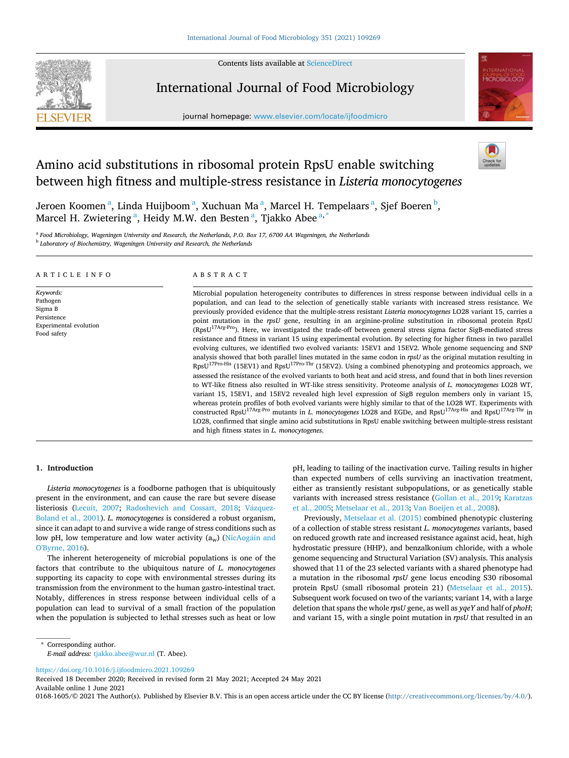Contents lists available at [ScienceDirect](www.sciencedirect.com/science/journal/01681605)



International Journal of Food Microbiology

journal homepage: [www.elsevier.com/locate/ijfoodmicro](https://www.elsevier.com/locate/ijfoodmicro)



# Amino acid substitutions in ribosomal protein RpsU enable switching between high fitness and multiple-stress resistance in *Listeria monocytogenes*

Jeroen Koomen<sup>a</sup>, Linda Huijboom<sup>a</sup>, Xuchuan Ma<sup>a</sup>, Marcel H. Tempelaars<sup>a</sup>, Sjef Boeren<sup>b</sup>, Marcel H. Zwietering <sup>a</sup>, Heidy M.W. den Besten <sup>a</sup>, Tjakko Abee <sup>a, \*</sup>

<sup>a</sup> *Food Microbiology, Wageningen University and Research, the Netherlands, P.O. Box 17, 6700 AA Wageningen, the Netherlands* 

<sup>b</sup> *Laboratory of Biochemistry, Wageningen University and Research, the Netherlands* 

#### ARTICLE INFO

*Keywords:*  Pathogen Sigma B Persistence Experimental evolution Food safety

#### ABSTRACT

Microbial population heterogeneity contributes to differences in stress response between individual cells in a population, and can lead to the selection of genetically stable variants with increased stress resistance. We previously provided evidence that the multiple-stress resistant *Listeria monocytogenes* LO28 variant 15, carries a point mutation in the *rpsU* gene, resulting in an arginine-proline substitution in ribosomal protein RpsU (RpsU17Arg-Pro). Here, we investigated the trade-off between general stress sigma factor SigB-mediated stress resistance and fitness in variant 15 using experimental evolution. By selecting for higher fitness in two parallel evolving cultures, we identified two evolved variants: 15EV1 and 15EV2. Whole genome sequencing and SNP analysis showed that both parallel lines mutated in the same codon in *rpsU* as the original mutation resulting in RpsU<sup>17Pro-His</sup> (15EV1) and RpsU<sup>17Pro-Thr</sup> (15EV2). Using a combined phenotyping and proteomics approach, we assessed the resistance of the evolved variants to both heat and acid stress, and found that in both lines reversion to WT-like fitness also resulted in WT-like stress sensitivity. Proteome analysis of *L. monocytogenes* LO28 WT, variant 15, 15EV1, and 15EV2 revealed high level expression of SigB regulon members only in variant 15, whereas protein profiles of both evolved variants were highly similar to that of the LO28 WT. Experiments with constructed RpsU17Arg-Pro mutants in *L. monocytogenes* LO28 and EGDe, and RpsU17Arg-His and RpsU17Arg-Thr in LO28, confirmed that single amino acid substitutions in RpsU enable switching between multiple-stress resistant and high fitness states in *L. monocytogenes*.

## **1. Introduction**

*Listeria monocytogenes* is a foodborne pathogen that is ubiquitously present in the environment, and can cause the rare but severe disease listeriosis ([Lecuit, 2007;](#page-7-0) [Radoshevich and Cossart, 2018;](#page-7-0) Vázquez-[Boland et al., 2001](#page-8-0)). *L. monocytogenes* is considered a robust organism, since it can adapt to and survive a wide range of stress conditions such as low pH, low temperature and low water activity (aw) (NicAogáin and [O'Byrne, 2016\)](#page-7-0).

The inherent heterogeneity of microbial populations is one of the factors that contribute to the ubiquitous nature of *L. monocytogenes*  supporting its capacity to cope with environmental stresses during its transmission from the environment to the human gastro-intestinal tract. Notably, differences in stress response between individual cells of a population can lead to survival of a small fraction of the population when the population is subjected to lethal stresses such as heat or low

pH, leading to tailing of the inactivation curve. Tailing results in higher than expected numbers of cells surviving an inactivation treatment, either as transiently resistant subpopulations, or as genetically stable variants with increased stress resistance [\(Gollan et al., 2019;](#page-7-0) [Karatzas](#page-7-0)  [et al., 2005; Metselaar et al., 2013](#page-7-0); [Van Boeijen et al., 2008](#page-8-0)).

Previously, [Metselaar et al. \(2015\)](#page-7-0) combined phenotypic clustering of a collection of stable stress resistant *L. monocytogenes* variants, based on reduced growth rate and increased resistance against acid, heat, high hydrostatic pressure (HHP), and benzalkonium chloride, with a whole genome sequencing and Structural Variation (SV) analysis. This analysis showed that 11 of the 23 selected variants with a shared phenotype had a mutation in the ribosomal *rpsU* gene locus encoding S30 ribosomal protein RpsU (small ribosomal protein 21) [\(Metselaar et al., 2015](#page-7-0)). Subsequent work focused on two of the variants; variant 14, with a large deletion that spans the whole *rpsU* gene, as well as *yqeY* and half of *phoH*; and variant 15, with a single point mutation in *rpsU* that resulted in an

<https://doi.org/10.1016/j.ijfoodmicro.2021.109269>

Available online 1 June 2021 Received 18 December 2020; Received in revised form 21 May 2021; Accepted 24 May 2021

0168-1605/© 2021 The Author(s). Published by Elsevier B.V. This is an open access article under the CC BY license [\(http://creativecommons.org/licenses/by/4.0/\)](http://creativecommons.org/licenses/by/4.0/).

<sup>\*</sup> Corresponding author. *E-mail address:* [tjakko.abee@wur.nl](mailto:tjakko.abee@wur.nl) (T. Abee).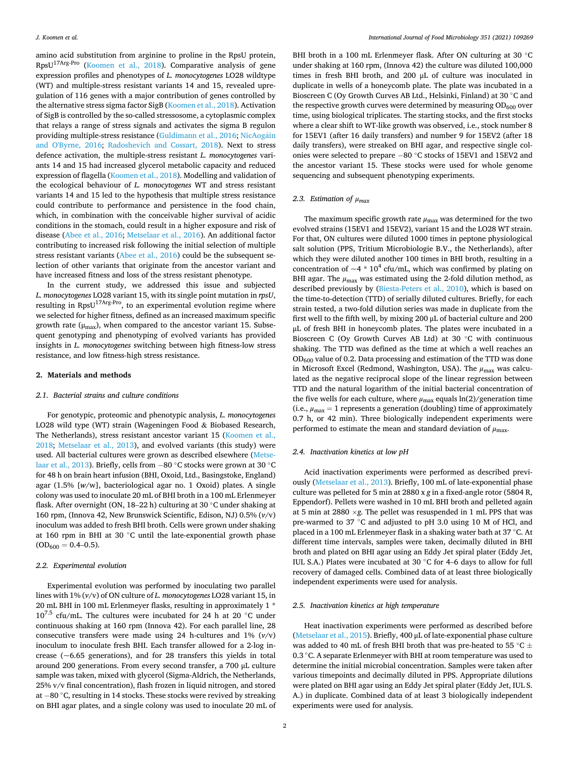amino acid substitution from arginine to proline in the RpsU protein, RpsU17Arg-Pro ([Koomen et al., 2018\)](#page-7-0). Comparative analysis of gene expression profiles and phenotypes of *L. monocytogenes* LO28 wildtype (WT) and multiple-stress resistant variants 14 and 15, revealed upregulation of 116 genes with a major contribution of genes controlled by the alternative stress sigma factor SigB ([Koomen et al., 2018](#page-7-0)). Activation of SigB is controlled by the so-called stressosome, a cytoplasmic complex that relays a range of stress signals and activates the sigma B regulon providing multiple-stress resistance (Guldimann et al., 2016; NicAogáin [and O'Byrne, 2016;](#page-7-0) [Radoshevich and Cossart, 2018\)](#page-7-0). Next to stress defence activation, the multiple-stress resistant *L. monocytogenes* variants 14 and 15 had increased glycerol metabolic capacity and reduced expression of flagella ([Koomen et al., 2018](#page-7-0)). Modelling and validation of the ecological behaviour of *L. monocytogenes* WT and stress resistant variants 14 and 15 led to the hypothesis that multiple stress resistance could contribute to performance and persistence in the food chain, which, in combination with the conceivable higher survival of acidic conditions in the stomach, could result in a higher exposure and risk of disease [\(Abee et al., 2016](#page-7-0); [Metselaar et al., 2016\)](#page-7-0). An additional factor contributing to increased risk following the initial selection of multiple stress resistant variants [\(Abee et al., 2016\)](#page-7-0) could be the subsequent selection of other variants that originate from the ancestor variant and have increased fitness and loss of the stress resistant phenotype.

In the current study, we addressed this issue and subjected *L. monocytogenes* LO28 variant 15, with its single point mutation in *rpsU*, resulting in RpsU17Arg-Pro, to an experimental evolution regime where we selected for higher fitness, defined as an increased maximum specific growth rate ( $\mu_{\text{max}}$ ), when compared to the ancestor variant 15. Subsequent genotyping and phenotyping of evolved variants has provided insights in *L. monocytogenes* switching between high fitness-low stress resistance, and low fitness-high stress resistance.

#### **2. Materials and methods**

#### *2.1. Bacterial strains and culture conditions*

For genotypic, proteomic and phenotypic analysis, *L. monocytogenes*  LO28 wild type (WT) strain (Wageningen Food & Biobased Research, The Netherlands), stress resistant ancestor variant 15 (Koomen et al., [2018;](#page-7-0) [Metselaar et al., 2013](#page-7-0)), and evolved variants (this study) were used. All bacterial cultures were grown as described elsewhere [\(Metse](#page-7-0)[laar et al., 2013](#page-7-0)). Briefly, cells from − 80 ◦C stocks were grown at 30 ◦C for 48 h on brain heart infusion (BHI, Oxoid, Ltd., Basingstoke, England) agar (1.5% [*w*/w], bacteriological agar no. 1 Oxoid) plates. A single colony was used to inoculate 20 mL of BHI broth in a 100 mL Erlenmeyer flask. After overnight (ON, 18–22 h) culturing at 30 ◦C under shaking at 160 rpm, (Innova 42, New Brunswick Scientific, Edison, NJ) 0.5% (*v*/v) inoculum was added to fresh BHI broth. Cells were grown under shaking at 160 rpm in BHI at 30 ◦C until the late-exponential growth phase  $(OD_{600} = 0.4{\text -}0.5).$ 

## *2.2. Experimental evolution*

Experimental evolution was performed by inoculating two parallel lines with 1% (*v*/v) of ON culture of *L. monocytogenes* LO28 variant 15, in 20 mL BHI in 100 mL Erlenmeyer flasks, resulting in approximately 1 \*  $10^{7.5}$  cfu/mL. The cultures were incubated for 24 h at 20 °C under continuous shaking at 160 rpm (Innova 42). For each parallel line, 28 consecutive transfers were made using 24 h-cultures and 1% (*v*/v) inoculum to inoculate fresh BHI. Each transfer allowed for a 2-log increase (~6.65 generations), and for 28 transfers this yields in total around 200 generations. From every second transfer, a 700 μL culture sample was taken, mixed with glycerol (Sigma-Aldrich, the Netherlands, 25% v/v final concentration), flash frozen in liquid nitrogen, and stored at − 80 ◦C, resulting in 14 stocks. These stocks were revived by streaking on BHI agar plates, and a single colony was used to inoculate 20 mL of

BHI broth in a 100 mL Erlenmeyer flask. After ON culturing at 30 °C under shaking at 160 rpm, (Innova 42) the culture was diluted 100,000 times in fresh BHI broth, and 200 μL of culture was inoculated in duplicate in wells of a honeycomb plate. The plate was incubated in a Bioscreen C (Oy Growth Curves AB Ltd., Helsinki, Finland) at 30 ◦C and the respective growth curves were determined by measuring  $OD_{600}$  over time, using biological triplicates. The starting stocks, and the first stocks where a clear shift to WT-like growth was observed, i.e., stock number 8 for 15EV1 (after 16 daily transfers) and number 9 for 15EV2 (after 18 daily transfers), were streaked on BHI agar, and respective single colonies were selected to prepare − 80 ◦C stocks of 15EV1 and 15EV2 and the ancestor variant 15. These stocks were used for whole genome sequencing and subsequent phenotyping experiments.

## *2.3. Estimation of μmax*

The maximum specific growth rate  $\mu_{\text{max}}$  was determined for the two evolved strains (15EV1 and 15EV2), variant 15 and the LO28 WT strain. For that, ON cultures were diluted 1000 times in peptone physiological salt solution (PPS, Tritium Microbiologie B.V., the Netherlands), after which they were diluted another 100 times in BHI broth, resulting in a concentration of  $\sim$ 4  $*$  10<sup>4</sup> cfu/mL, which was confirmed by plating on BHI agar. The *μ*max was estimated using the 2-fold dilution method, as described previously by ([Biesta-Peters et al., 2010\)](#page-7-0), which is based on the time-to-detection (TTD) of serially diluted cultures. Briefly, for each strain tested, a two-fold dilution series was made in duplicate from the first well to the fifth well, by mixing 200 μL of bacterial culture and 200 μL of fresh BHI in honeycomb plates. The plates were incubated in a Bioscreen C (Oy Growth Curves AB Ltd) at 30 ◦C with continuous shaking. The TTD was defined as the time at which a well reaches an  $OD_{600}$  value of 0.2. Data processing and estimation of the TTD was done in Microsoft Excel (Redmond, Washington, USA). The *μ*<sub>max</sub> was calculated as the negative reciprocal slope of the linear regression between TTD and the natural logarithm of the initial bacterial concentration of the five wells for each culture, where  $\mu_{\text{max}}$  equals  $\ln(2)/$  generation time (i.e.,  $\mu_{\text{max}} = 1$  represents a generation (doubling) time of approximately 0.7 h, or 42 min). Three biologically independent experiments were performed to estimate the mean and standard deviation of  $\mu_{\text{max}}$ .

### *2.4. Inactivation kinetics at low pH*

Acid inactivation experiments were performed as described previously [\(Metselaar et al., 2013](#page-7-0)). Briefly, 100 mL of late-exponential phase culture was pelleted for 5 min at 2880 x *g* in a fixed-angle rotor (5804 R, Eppendorf). Pellets were washed in 10 mL BHI broth and pelleted again at 5 min at 2880  $\times$ *g*. The pellet was resuspended in 1 mL PPS that was pre-warmed to 37 ℃ and adjusted to pH 3.0 using 10 M of HCl, and placed in a 100 mL Erlenmeyer flask in a shaking water bath at 37 ◦C. At different time intervals, samples were taken, decimally diluted in BHI broth and plated on BHI agar using an Eddy Jet spiral plater (Eddy Jet, IUL S.A.) Plates were incubated at 30 ◦C for 4–6 days to allow for full recovery of damaged cells. Combined data of at least three biologically independent experiments were used for analysis.

## *2.5. Inactivation kinetics at high temperature*

Heat inactivation experiments were performed as described before ([Metselaar et al., 2015](#page-7-0)). Briefly, 400 μL of late-exponential phase culture was added to 40 mL of fresh BHI broth that was pre-heated to 55  $\degree$ C  $\pm$ 0.3 ◦C. A separate Erlenmeyer with BHI at room temperature was used to determine the initial microbial concentration. Samples were taken after various timepoints and decimally diluted in PPS. Appropriate dilutions were plated on BHI agar using an Eddy Jet spiral plater (Eddy Jet, IUL S. A.) in duplicate. Combined data of at least 3 biologically independent experiments were used for analysis.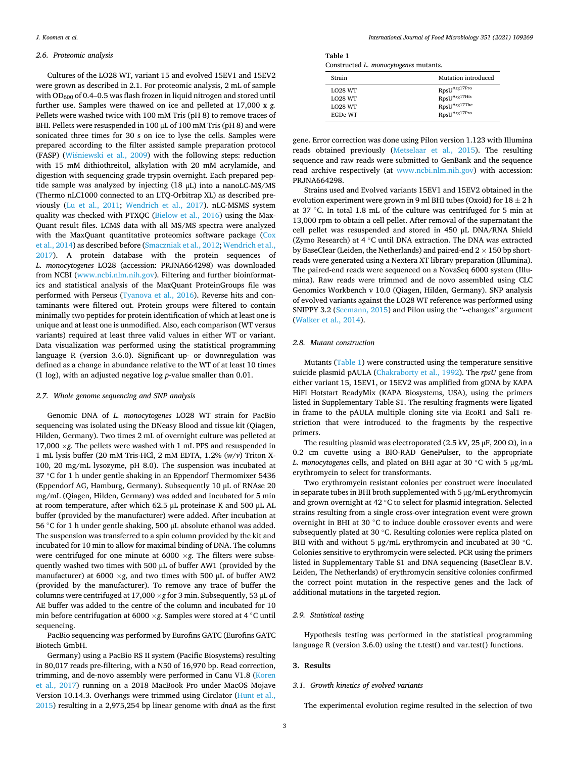#### *2.6. Proteomic analysis*

Cultures of the LO28 WT, variant 15 and evolved 15EV1 and 15EV2 were grown as described in 2.1. For proteomic analysis, 2 mL of sample with  $OD_{600}$  of 0.4–0.5 was flash frozen in liquid nitrogen and stored until further use. Samples were thawed on ice and pelleted at 17,000 x *g.*  Pellets were washed twice with 100 mM Tris (pH 8) to remove traces of BHI. Pellets were resuspended in 100 μL of 100 mM Tris (pH 8) and were sonicated three times for 30 s on ice to lyse the cells. Samples were prepared according to the filter assisted sample preparation protocol (FASP) (Wiśniewski et al., 2009) with the following steps: reduction with 15 mM dithiothreitol, alkylation with 20 mM acrylamide, and digestion with sequencing grade trypsin overnight. Each prepared peptide sample was analyzed by injecting (18 μL) into a nanoLC-MS/MS (Thermo nLC1000 connected to an LTQ-Orbitrap XL) as described previously ([Lu et al., 2011;](#page-7-0) [Wendrich et al., 2017](#page-8-0)). nLC-MSMS system quality was checked with PTXQC [\(Bielow et al., 2016\)](#page-7-0) using the Max-Quant result files. LCMS data with all MS/MS spectra were analyzed with the MaxQuant quantitative proteomics software package (Cox [et al., 2014](#page-7-0)) as described before ([Smaczniak et al., 2012;](#page-7-0) [Wendrich et al.,](#page-8-0)  [2017\)](#page-8-0). A protein database with the protein sequences of *L. monocytogenes* LO28 (accession: PRJNA664298) was downloaded from NCBI ([www.ncbi.nlm.nih.gov](http://www.ncbi.nlm.nih.gov)). Filtering and further bioinformatics and statistical analysis of the MaxQuant ProteinGroups file was performed with Perseus ([Tyanova et al., 2016](#page-8-0)). Reverse hits and contaminants were filtered out. Protein groups were filtered to contain minimally two peptides for protein identification of which at least one is unique and at least one is unmodified. Also, each comparison (WT versus variants) required at least three valid values in either WT or variant. Data visualization was performed using the statistical programming language R (version 3.6.0). Significant up- or downregulation was defined as a change in abundance relative to the WT of at least 10 times (1 log), with an adjusted negative log *p*-value smaller than 0.01.

## *2.7. Whole genome sequencing and SNP analysis*

Genomic DNA of *L. monocytogenes* LO28 WT strain for PacBio sequencing was isolated using the DNeasy Blood and tissue kit (Qiagen, Hilden, Germany). Two times 2 mL of overnight culture was pelleted at 17,000  $\times$ *g*. The pellets were washed with 1 mL PPS and resuspended in 1 mL lysis buffer (20 mM Tris-HCl, 2 mM EDTA, 1.2% (*w*/*v*) Triton X-100, 20 mg/mL lysozyme, pH 8.0). The suspension was incubated at 37 ◦C for 1 h under gentle shaking in an Eppendorf Thermomixer 5436 (Eppendorf AG, Hamburg, Germany). Subsequently 10 μL of RNAse 20 mg/mL (Qiagen, Hilden, Germany) was added and incubated for 5 min at room temperature, after which 62.5 μL proteinase K and 500 μL AL buffer (provided by the manufacturer) were added. After incubation at 56 ◦C for 1 h under gentle shaking, 500 μL absolute ethanol was added. The suspension was transferred to a spin column provided by the kit and incubated for 10 min to allow for maximal binding of DNA. The columns were centrifuged for one minute at 6000 ×*g*. The filters were subsequently washed two times with 500 μL of buffer AW1 (provided by the manufacturer) at 6000 ×*g*, and two times with 500 μL of buffer AW2 (provided by the manufacturer). To remove any trace of buffer the columns were centrifuged at 17,000 ×*g* for 3 min. Subsequently, 53 μL of AE buffer was added to the centre of the column and incubated for 10 min before centrifugation at 6000 ×*g*. Samples were stored at 4 ◦C until sequencing.

PacBio sequencing was performed by Eurofins GATC (Eurofins GATC Biotech GmbH.

Germany) using a PacBio RS II system (Pacific Biosystems) resulting in 80,017 reads pre-filtering, with a N50 of 16,970 bp. Read correction, trimming, and de-novo assembly were performed in Canu V1.8 (Koren [et al., 2017](#page-7-0)) running on a 2018 MacBook Pro under MacOS Mojave Version 10.14.3. Overhangs were trimmed using Circlator ([Hunt et al.,](#page-7-0)  [2015\)](#page-7-0) resulting in a 2,975,254 bp linear genome with *dnaA* as the first

**Table 1**  Constructed *L. monocytogenes* mutants.

| -              |                          |
|----------------|--------------------------|
| Strain         | Mutation introduced      |
| <b>LO28 WT</b> | RpsU <sup>Arg17Pro</sup> |
| <b>LO28 WT</b> | RpsUArg17His             |
| <b>LO28 WT</b> | RpsUArg17The             |
| EGDe WT        | RpsUArg17Pro             |

gene. Error correction was done using Pilon version 1.123 with Illumina reads obtained previously ([Metselaar et al., 2015\)](#page-7-0). The resulting sequence and raw reads were submitted to GenBank and the sequence read archive respectively (at [www.ncbi.nlm.nih.gov\)](http://www.ncbi.nlm.nih.gov) with accession: PRJNA664298.

Strains used and Evolved variants 15EV1 and 15EV2 obtained in the evolution experiment were grown in 9 ml BHI tubes (Oxoid) for  $18\pm2$  h at 37 ◦C. In total 1.8 mL of the culture was centrifuged for 5 min at 13,000 rpm to obtain a cell pellet. After removal of the supernatant the cell pellet was resuspended and stored in 450 μL DNA/RNA Shield (Zymo Research) at 4 ◦C until DNA extraction. The DNA was extracted by BaseClear (Leiden, the Netherlands) and paired-end  $2 \times 150$  bp shortreads were generated using a Nextera XT library preparation (Illumina). The paired-end reads were sequenced on a NovaSeq 6000 system (Illumina). Raw reads were trimmed and de novo assembled using CLC Genomics Workbench v 10.0 (Qiagen, Hilden, Germany). SNP analysis of evolved variants against the LO28 WT reference was performed using SNIPPY 3.2 ([Seemann, 2015](#page-7-0)) and Pilon using the "--changes" argument ([Walker et al., 2014](#page-8-0)).

#### *2.8. Mutant construction*

Mutants (Table 1) were constructed using the temperature sensitive suicide plasmid pAULA [\(Chakraborty et al., 1992\)](#page-7-0). The *rpsU* gene from either variant 15, 15EV1, or 15EV2 was amplified from gDNA by KAPA HiFi Hotstart ReadyMix (KAPA Biosystems, USA), using the primers listed in Supplementary Table S1. The resulting fragments were ligated in frame to the pAULA multiple cloning site via EcoR1 and Sal1 restriction that were introduced to the fragments by the respective primers.

The resulting plasmid was electroporated (2.5 kV, 25  $\mu$ F, 200  $\Omega$ ), in a 0.2 cm cuvette using a BIO-RAD GenePulser, to the appropriate *L. monocytogenes* cells, and plated on BHI agar at 30 ◦C with 5 μg/mL erythromycin to select for transformants.

Two erythromycin resistant colonies per construct were inoculated in separate tubes in BHI broth supplemented with 5 μg/mL erythromycin and grown overnight at 42 ◦C to select for plasmid integration. Selected strains resulting from a single cross-over integration event were grown overnight in BHI at 30 ◦C to induce double crossover events and were subsequently plated at 30 ◦C. Resulting colonies were replica plated on BHI with and without 5 μg/mL erythromycin and incubated at 30 °C. Colonies sensitive to erythromycin were selected. PCR using the primers listed in Supplementary Table S1 and DNA sequencing (BaseClear B.V. Leiden, The Netherlands) of erythromycin sensitive colonies confirmed the correct point mutation in the respective genes and the lack of additional mutations in the targeted region.

#### *2.9. Statistical testing*

Hypothesis testing was performed in the statistical programming language R (version 3.6.0) using the t.test() and var.test() functions.

## **3. Results**

#### *3.1. Growth kinetics of evolved variants*

The experimental evolution regime resulted in the selection of two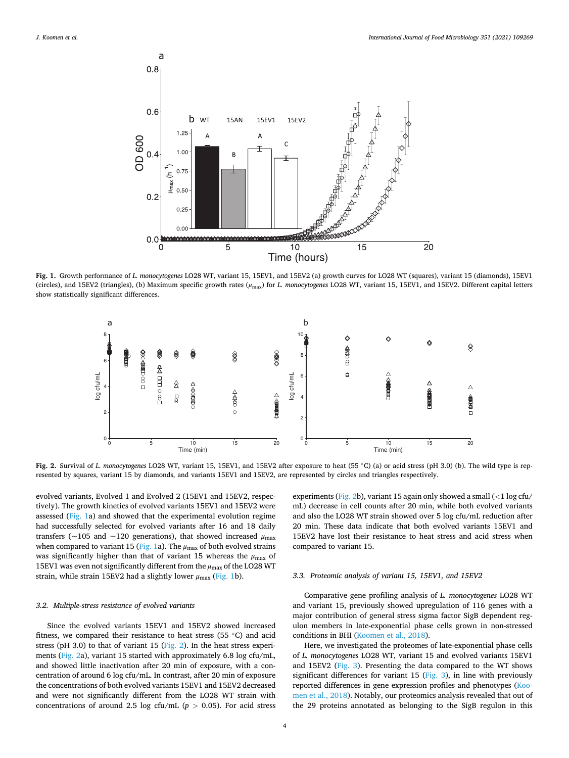<span id="page-3-0"></span>

**Fig. 1.** Growth performance of *L. monocytogenes* LO28 WT, variant 15, 15EV1, and 15EV2 (a) growth curves for LO28 WT (squares), variant 15 (diamonds), 15EV1 (circles), and 15EV2 (triangles), (b) Maximum specific growth rates (*μ*max) for *L. monocytogenes* LO28 WT, variant 15, 15EV1, and 15EV2. Different capital letters show statistically significant differences.



**Fig. 2.** Survival of *L. monocytogenes* LO28 WT, variant 15, 15EV1, and 15EV2 after exposure to heat (55 ◦C) (a) or acid stress (pH 3.0) (b). The wild type is represented by squares, variant 15 by diamonds, and variants 15EV1 and 15EV2, are represented by circles and triangles respectively.

evolved variants, Evolved 1 and Evolved 2 (15EV1 and 15EV2, respectively). The growth kinetics of evolved variants 15EV1 and 15EV2 were assessed (Fig. 1a) and showed that the experimental evolution regime had successfully selected for evolved variants after 16 and 18 daily transfers (~105 and ~120 generations), that showed increased *μ*max when compared to variant 15 (Fig. 1a). The  $\mu_{\text{max}}$  of both evolved strains was significantly higher than that of variant 15 whereas the *μ*max of 15EV1 was even not significantly different from the  $μ$ <sub>max</sub> of the LO28 WT strain, while strain 15EV2 had a slightly lower *μ*max (Fig. 1b).

## *3.2. Multiple-stress resistance of evolved variants*

Since the evolved variants 15EV1 and 15EV2 showed increased fitness, we compared their resistance to heat stress (55  $\degree$ C) and acid stress (pH 3.0) to that of variant 15 ( $Fig. 2$ ). In the heat stress experiments (Fig. 2a), variant 15 started with approximately 6.8 log cfu/mL, and showed little inactivation after 20 min of exposure, with a concentration of around 6 log cfu/mL. In contrast, after 20 min of exposure the concentrations of both evolved variants 15EV1 and 15EV2 decreased and were not significantly different from the LO28 WT strain with concentrations of around 2.5 log cfu/mL ( $p > 0.05$ ). For acid stress experiments (Fig. 2b), variant 15 again only showed a small (*<*1 log cfu/ mL) decrease in cell counts after 20 min, while both evolved variants and also the LO28 WT strain showed over 5 log cfu/mL reduction after 20 min. These data indicate that both evolved variants 15EV1 and 15EV2 have lost their resistance to heat stress and acid stress when compared to variant 15.

#### *3.3. Proteomic analysis of variant 15, 15EV1, and 15EV2*

Comparative gene profiling analysis of *L. monocytogenes* LO28 WT and variant 15, previously showed upregulation of 116 genes with a major contribution of general stress sigma factor SigB dependent regulon members in late-exponential phase cells grown in non-stressed conditions in BHI ([Koomen et al., 2018](#page-7-0)).

Here, we investigated the proteomes of late-exponential phase cells of *L. monocytogenes* LO28 WT, variant 15 and evolved variants 15EV1 and 15EV2 [\(Fig. 3](#page-4-0)). Presenting the data compared to the WT shows significant differences for variant 15 [\(Fig. 3](#page-4-0)), in line with previously reported differences in gene expression profiles and phenotypes [\(Koo](#page-7-0)[men et al., 2018\)](#page-7-0). Notably, our proteomics analysis revealed that out of the 29 proteins annotated as belonging to the SigB regulon in this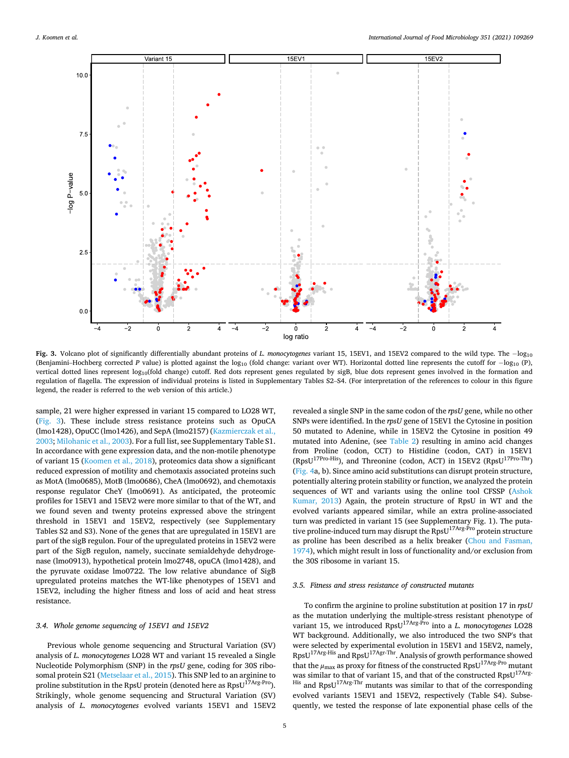<span id="page-4-0"></span>

**Fig. 3.** Volcano plot of significantly differentially abundant proteins of *L. monocytogenes* variant 15, 15EV1, and 15EV2 compared to the wild type. The − log10 (Benjamini–Hochberg corrected *P* value) is plotted against the log<sub>10</sub> (fold change: variant over WT). Horizontal dotted line represents the cutoff for −log<sub>10</sub> (P), vertical dotted lines represent log<sub>10</sub>(fold change) cutoff. Red dots represent genes regulated by sigB, blue dots represent genes involved in the formation and regulation of flagella. The expression of individual proteins is listed in Supplementary Tables S2–S4. (For interpretation of the references to colour in this figure legend, the reader is referred to the web version of this article.)

sample, 21 were higher expressed in variant 15 compared to LO28 WT, (Fig. 3). These include stress resistance proteins such as OpuCA (lmo1428), OpuCC (lmo1426), and SepA (lmo2157) [\(Kazmierczak et al.,](#page-7-0)  [2003; Milohanic et al., 2003](#page-7-0)). For a full list, see Supplementary Table S1. In accordance with gene expression data, and the non-motile phenotype of variant 15 [\(Koomen et al., 2018](#page-7-0)), proteomics data show a significant reduced expression of motility and chemotaxis associated proteins such as MotA (lmo0685), MotB (lmo0686), CheA (lmo0692), and chemotaxis response regulator CheY (lmo0691). As anticipated, the proteomic profiles for 15EV1 and 15EV2 were more similar to that of the WT, and we found seven and twenty proteins expressed above the stringent threshold in 15EV1 and 15EV2, respectively (see Supplementary Tables S2 and S3). None of the genes that are upregulated in 15EV1 are part of the sigB regulon. Four of the upregulated proteins in 15EV2 were part of the SigB regulon, namely, succinate semialdehyde dehydrogenase (lmo0913), hypothetical protein lmo2748, opuCA (lmo1428), and the pyruvate oxidase lmo0722. The low relative abundance of SigB upregulated proteins matches the WT-like phenotypes of 15EV1 and 15EV2, including the higher fitness and loss of acid and heat stress resistance.

#### *3.4. Whole genome sequencing of 15EV1 and 15EV2*

Previous whole genome sequencing and Structural Variation (SV) analysis of *L. monocytogenes* LO28 WT and variant 15 revealed a Single Nucleotide Polymorphism (SNP) in the *rpsU* gene, coding for 30S ribosomal protein S21 ([Metselaar et al., 2015\)](#page-7-0). This SNP led to an arginine to proline substitution in the RpsU protein (denoted here as  $RpsU^{17Arg\text{-}Pro}$ ). Strikingly, whole genome sequencing and Structural Variation (SV) analysis of *L. monocytogenes* evolved variants 15EV1 and 15EV2

revealed a single SNP in the same codon of the *rpsU* gene, while no other SNPs were identified. In the *rpsU* gene of 15EV1 the Cytosine in position 50 mutated to Adenine, while in 15EV2 the Cytosine in position 49 mutated into Adenine, (see [Table 2\)](#page-5-0) resulting in amino acid changes from Proline (codon, CCT) to Histidine (codon, CAT) in 15EV1 (RpsU<sup>17Pro-His</sup>), and Threonine (codon, ACT) in 15EV2 (RpsU<sup>17Pro-Thr</sup>) ([Fig. 4a](#page-5-0), b). Since amino acid substitutions can disrupt protein structure, potentially altering protein stability or function, we analyzed the protein sequences of WT and variants using the online tool CFSSP ([Ashok](#page-7-0)  [Kumar, 2013](#page-7-0)) Again, the protein structure of RpsU in WT and the evolved variants appeared similar, while an extra proline-associated turn was predicted in variant 15 (see Supplementary Fig. 1). The putative proline-induced turn may disrupt the RpsU<sup>17Arg-Pro</sup> protein structure as proline has been described as a helix breaker [\(Chou and Fasman,](#page-7-0)  [1974\)](#page-7-0), which might result in loss of functionality and/or exclusion from the 30S ribosome in variant 15.

## *3.5. Fitness and stress resistance of constructed mutants*

To confirm the arginine to proline substitution at position 17 in *rpsU*  as the mutation underlying the multiple-stress resistant phenotype of variant 15, we introduced RpsU17Arg-Pro into a *L. monocytogenes* LO28 WT background. Additionally, we also introduced the two SNP's that were selected by experimental evolution in 15EV1 and 15EV2, namely, RpsU17Arg-His and RpsU17Agr-Thr. Analysis of growth performance showed that the  $\mu_{\text{max}}$  as proxy for fitness of the constructed RpsU<sup>17Arg-Pro</sup> mutant was similar to that of variant 15, and that of the constructed  $RpsU^{17Arg}$  $H$ <sup>His</sup> and RpsU<sup>17Arg-Thr</sup> mutants was similar to that of the corresponding evolved variants 15EV1 and 15EV2, respectively (Table S4). Subsequently, we tested the response of late exponential phase cells of the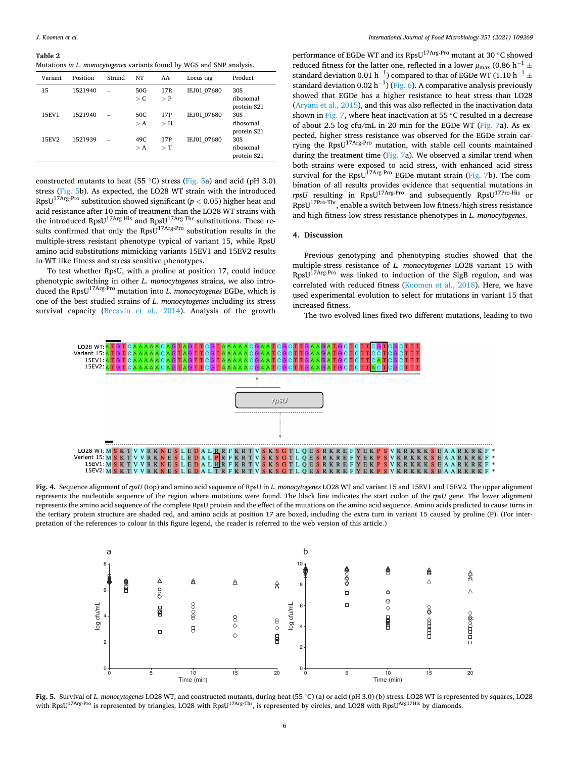#### <span id="page-5-0"></span>**Table 2**

Mutations *in L. monocytogenes* variants found by WGS and SNP analysis.

| Variant | Position | Strand | NT                  | AA                     | Locus tag   | Product                         |
|---------|----------|--------|---------------------|------------------------|-------------|---------------------------------|
| 15      | 1521940  |        | 50G<br>$\mathsf{C}$ | 17 <sub>R</sub><br>> P | IEJ01 07680 | 30S<br>ribosomal<br>protein S21 |
| 15EV1   | 1521940  |        | 50C<br>> A          | 17P<br>$>$ H           | IEJ01 07680 | 30S<br>ribosomal<br>protein S21 |
| 15EV2   | 1521939  |        | 49C<br>> A          | 17P<br>$\rm > T$       | IEJ01 07680 | 30S<br>ribosomal<br>protein S21 |

constructed mutants to heat (55 ◦C) stress (Fig. 5a) and acid (pH 3.0) stress (Fig. 5b). As expected, the LO28 WT strain with the introduced  $\text{RpsU}^{\text{17Arg-Pro}}$  substitution showed significant ( $p < 0.05$ ) higher heat and acid resistance after 10 min of treatment than the LO28 WT strains with the introduced RpsU<sup>17Arg-His</sup> and RpsU<sup>17Arg-Thr</sup> substitutions. These results confirmed that only the RpsU<sup>17Arg-Pro</sup> substitution results in the multiple-stress resistant phenotype typical of variant 15, while RpsU amino acid substitutions mimicking variants 15EV1 and 15EV2 results in WT like fitness and stress sensitive phenotypes.

To test whether RpsU, with a proline at position 17, could induce phenotypic switching in other *L. monocytogenes* strains, we also introduced the RpsU17Arg-Pro mutation into *L. monocytogenes* EGDe, which is one of the best studied strains of *L. monocytogenes* including its stress survival capacity [\(Becavin et al., 2014\)](#page-7-0). Analysis of the growth

performance of EGDe WT and its RpsU<sup>17Arg-Pro</sup> mutant at 30 ℃ showed reduced fitness for the latter one, reflected in a lower  $\mu_{\rm max}$  (0.86 h $^{-1}$   $\pm$ standard deviation 0.01  $h^{-1}$ ) compared to that of EGDe WT (1.10  $h^{-1}$   $\pm$ standard deviation 0.02 h<sup>-1</sup>) ([Fig. 6](#page-6-0)). A comparative analysis previously showed that EGDe has a higher resistance to heat stress than LO28 ([Aryani et al., 2015\)](#page-7-0), and this was also reflected in the inactivation data shown in [Fig. 7,](#page-6-0) where heat inactivation at 55 °C resulted in a decrease of about 2.5 log cfu/mL in 20 min for the EGDe WT ([Fig. 7](#page-6-0)a). As expected, higher stress resistance was observed for the EGDe strain carrying the RpsU17Arg-Pro mutation, with stable cell counts maintained during the treatment time [\(Fig. 7](#page-6-0)a). We observed a similar trend when both strains were exposed to acid stress, with enhanced acid stress survival for the Rps $U^{17Arg\text{-}Pro}$  EGDe mutant strain ([Fig. 7](#page-6-0)b). The combination of all results provides evidence that sequential mutations in *rpsU* resulting in RpsU<sup>17Arg-Pro</sup> and subsequently RpsU<sup>17Pro-His</sup> or RpsU17Pro-Thr, enable a switch between low fitness/high stress resistance and high fitness-low stress resistance phenotypes in *L. monocytogenes*.

## **4. Discussion**

Previous genotyping and phenotyping studies showed that the multiple-stress resistance of *L. monocytogenes* LO28 variant 15 with RpsU17Arg-Pro was linked to induction of the SigB regulon, and was correlated with reduced fitness ([Koomen et al., 2018](#page-7-0)). Here, we have used experimental evolution to select for mutations in variant 15 that increased fitness.

The two evolved lines fixed two different mutations, leading to two



**Fig. 4.** Sequence alignment of *rpsU* (top) and amino acid sequence of RpsU in *L. monocytogenes* LO28 WT and variant 15 and 15EV1 and 15EV2*.* The upper alignment represents the nucleotide sequence of the region where mutations were found. The black line indicates the start codon of the *rpsU* gene. The lower alignment represents the amino acid sequence of the complete RpsU protein and the effect of the mutations on the amino acid sequence. Amino acids predicted to cause turns in the tertiary protein structure are shaded red, and amino acids at position 17 are boxed, including the extra turn in variant 15 caused by proline (P). (For interpretation of the references to colour in this figure legend, the reader is referred to the web version of this article.)



**Fig. 5.** Survival of *L. monocytogenes* LO28 WT, and constructed mutants, during heat (55 ◦C) (a) or acid (pH 3.0) (b) stress. LO28 WT is represented by squares, LO28 with RpsU<sup>17Arg-Pro</sup> is represented by triangles, LO28 with RpsU<sup>17Arg-Thr</sup>, is represented by circles, and LO28 with RpsU<sup>Arg17His</sup> by diamonds.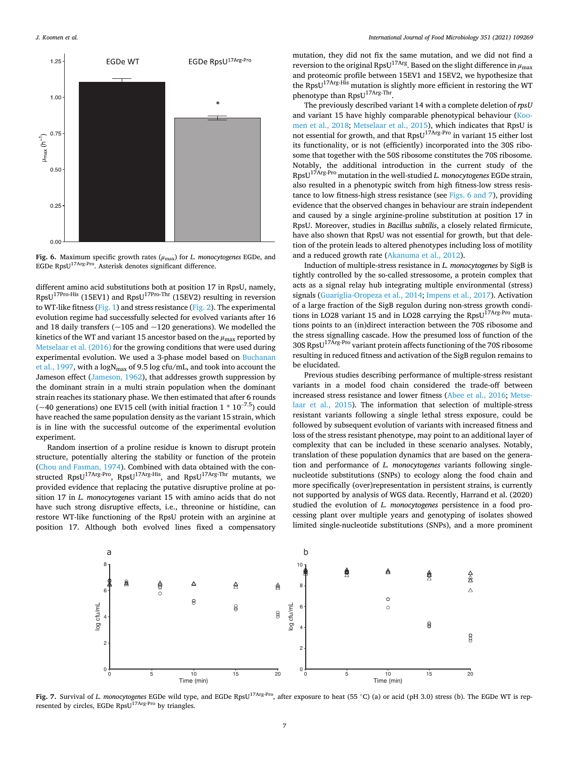<span id="page-6-0"></span>

**Fig. 6.** Maximum specific growth rates (*μ*max) for *L. monocytogenes* EGDe, and EGDe RpsU17Arg-Pro. Asterisk denotes significant difference.

different amino acid substitutions both at position 17 in RpsU, namely,  $RpsU^{17Pro-His}$  (15EV1) and  $RpsU^{17Pro-Thr}$  (15EV2) resulting in reversion to WT-like fitness ([Fig. 1\)](#page-3-0) and stress resistance [\(Fig. 2\)](#page-3-0). The experimental evolution regime had successfully selected for evolved variants after 16 and 18 daily transfers ( $\sim$ 105 and  $\sim$ 120 generations). We modelled the kinetics of the WT and variant 15 ancestor based on the  $\mu_{\text{max}}$  reported by [Metselaar et al. \(2016\)](#page-7-0) for the growing conditions that were used during experimental evolution. We used a 3-phase model based on [Buchanan](#page-7-0)  [et al., 1997,](#page-7-0) with a  $\log N_{\text{max}}$  of 9.5 log cfu/mL, and took into account the Jameson effect ([Jameson, 1962\)](#page-7-0), that addresses growth suppression by the dominant strain in a multi strain population when the dominant strain reaches its stationary phase. We then estimated that after 6 rounds ( $\sim$ 40 generations) one EV15 cell (with initial fraction 1  $*$  10<sup>-7.5</sup>) could have reached the same population density as the variant 15 strain, which is in line with the successful outcome of the experimental evolution experiment.

Random insertion of a proline residue is known to disrupt protein structure, potentially altering the stability or function of the protein ([Chou and Fasman, 1974](#page-7-0)). Combined with data obtained with the constructed RpsU<sup>17Arg-Pro</sup>, RpsU<sup>17Arg-His</sup>, and RpsU<sup>17Arg-Thr</sup> mutants, we provided evidence that replacing the putative disruptive proline at position 17 in *L. monocytogenes* variant 15 with amino acids that do not have such strong disruptive effects, i.e., threonine or histidine, can restore WT-like functioning of the RpsU protein with an arginine at position 17. Although both evolved lines fixed a compensatory

mutation, they did not fix the same mutation, and we did not find a **reversion** to the original RpsU<sup>17Arg</sup>. Based on the slight difference in  $μ_{max}$ and proteomic profile between 15EV1 and 15EV2, we hypothesize that the RpsU<sup>17Arg-His</sup> mutation is slightly more efficient in restoring the WT phenotype than RpsU<sup>17Arg-Thr</sup>.

The previously described variant 14 with a complete deletion of *rpsU*  and variant 15 have highly comparable phenotypical behaviour [\(Koo](#page-7-0)[men et al., 2018](#page-7-0); [Metselaar et al., 2015\)](#page-7-0), which indicates that RpsU is not essential for growth, and that RpsU<sup>17Arg-Pro</sup> in variant 15 either lost its functionality, or is not (efficiently) incorporated into the 30S ribosome that together with the 50S ribosome constitutes the 70S ribosome. Notably, the additional introduction in the current study of the RpsU17Arg-Pro mutation in the well-studied *L. monocytogenes* EGDe strain, also resulted in a phenotypic switch from high fitness-low stress resistance to low fitness-high stress resistance (see Figs. 6 and 7), providing evidence that the observed changes in behaviour are strain independent and caused by a single arginine-proline substitution at position 17 in RpsU. Moreover, studies in *Bacillus subtilis*, a closely related firmicute, have also shown that RpsU was not essential for growth, but that deletion of the protein leads to altered phenotypes including loss of motility and a reduced growth rate ([Akanuma et al., 2012\)](#page-7-0).

Induction of multiple-stress resistance in *L. monocytogenes* by SigB is tightly controlled by the so-called stressosome, a protein complex that acts as a signal relay hub integrating multiple environmental (stress) signals ([Guariglia-Oropeza et al., 2014](#page-7-0); [Impens et al., 2017\)](#page-7-0). Activation of a large fraction of the SigB regulon during non-stress growth conditions in LO28 variant 15 and in LO28 carrying the RpsU $^{17\rm Arg\cdot Pro}$  mutations points to an (in)direct interaction between the 70S ribosome and the stress signalling cascade. How the presumed loss of function of the 30S RpsU17Arg-Pro variant protein affects functioning of the 70S ribosome resulting in reduced fitness and activation of the SigB regulon remains to be elucidated.

Previous studies describing performance of multiple-stress resistant variants in a model food chain considered the trade-off between increased stress resistance and lower fitness [\(Abee et al., 2016; Metse](#page-7-0)[laar et al., 2015](#page-7-0)). The information that selection of multiple-stress resistant variants following a single lethal stress exposure, could be followed by subsequent evolution of variants with increased fitness and loss of the stress resistant phenotype, may point to an additional layer of complexity that can be included in these scenario analyses. Notably, translation of these population dynamics that are based on the generation and performance of *L. monocytogenes* variants following singlenucleotide substitutions (SNPs) to ecology along the food chain and more specifically (over)representation in persistent strains, is currently not supported by analysis of WGS data. Recently, Harrand et al. (2020) studied the evolution of *L. monocytogenes* persistence in a food processing plant over multiple years and genotyping of isolates showed limited single-nucleotide substitutions (SNPs), and a more prominent



**Fig. 7.** Survival of *L. monocytogenes* EGDe wild type, and EGDe RpsU17Arg-Pro, after exposure to heat (55 ◦C) (a) or acid (pH 3.0) stress (b). The EGDe WT is represented by circles, EGDe RpsU<sup>17Arg-Pro</sup> by triangles.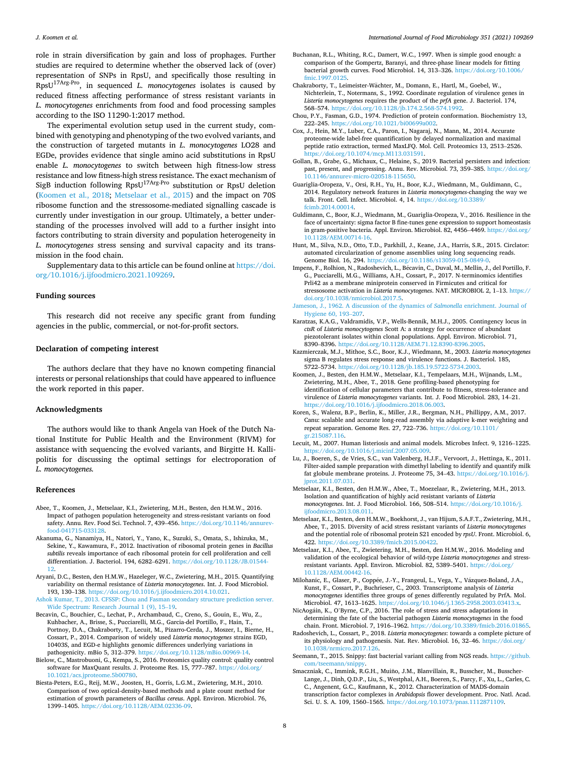<span id="page-7-0"></span>role in strain diversification by gain and loss of prophages. Further studies are required to determine whether the observed lack of (over) representation of SNPs in RpsU, and specifically those resulting in RpsU17Arg-Pro, in sequenced *L. monocytogenes* isolates is caused by reduced fitness affecting performance of stress resistant variants in *L. monocytogenes* enrichments from food and food processing samples according to the ISO 11290-1:2017 method.

The experimental evolution setup used in the current study, combined with genotyping and phenotyping of the two evolved variants, and the construction of targeted mutants in *L. monocytogenes* LO28 and EGDe, provides evidence that single amino acid substitutions in RpsU enable *L. monocytogenes* to switch between high fitness-low stress resistance and low fitness-high stress resistance. The exact mechanism of SigB induction following RpsU17Arg-Pro substitution or RpsU deletion (Koomen et al., 2018; Metselaar et al., 2015) and the impact on 70S ribosome function and the stressosome-mediated signalling cascade is currently under investigation in our group. Ultimately, a better understanding of the processes involved will add to a further insight into factors contributing to strain diversity and population heterogeneity in *L. monocytogenes* stress sensing and survival capacity and its transmission in the food chain.

Supplementary data to this article can be found online at [https://doi.](https://doi.org/10.1016/j.ijfoodmicro.2021.109269)  [org/10.1016/j.ijfoodmicro.2021.109269.](https://doi.org/10.1016/j.ijfoodmicro.2021.109269)

#### **Funding sources**

This research did not receive any specific grant from funding agencies in the public, commercial, or not-for-profit sectors.

## **Declaration of competing interest**

The authors declare that they have no known competing financial interests or personal relationships that could have appeared to influence the work reported in this paper.

## **Acknowledgments**

The authors would like to thank Angela van Hoek of the Dutch National Institute for Public Health and the Environment (RIVM) for assistance with sequencing the evolved variants, and Birgitte H. Kallipolitis for discussing the optimal settings for electroporation of *L. monocytogenes.* 

#### **References**

- Abee, T., Koomen, J., Metselaar, K.I., Zwietering, M.H., Besten, den H.M.W., 2016. Impact of pathogen population heterogeneity and stress-resistant variants on food safety. Annu. Rev. Food Sci. Technol. 7, 439–456. [https://doi.org/10.1146/annurev](https://doi.org/10.1146/annurev-food-041715-033128)[food-041715-033128](https://doi.org/10.1146/annurev-food-041715-033128).
- Akanuma, G., Nanamiya, H., Natori, Y., Yano, K., Suzuki, S., Omata, S., Ishizuka, M., Sekine, Y., Kawamura, F., 2012. Inactivation of ribosomal protein genes in *Bacillus subtilis* reveals importance of each ribosomal protein for cell proliferation and cell differentiation. J. Bacteriol. 194, 6282–6291. [https://doi.org/10.1128/JB.01544-](https://doi.org/10.1128/JB.01544-12) [12.](https://doi.org/10.1128/JB.01544-12)
- Aryani, D.C., Besten, den H.M.W., Hazeleger, W.C., Zwietering, M.H., 2015. Quantifying variability on thermal resistance of *Listeria monocytogenes*. Int. J. Food Microbiol. 193, 130–138. [https://doi.org/10.1016/j.ijfoodmicro.2014.10.021.](https://doi.org/10.1016/j.ijfoodmicro.2014.10.021)
- [Ashok Kumar, T., 2013. CFSSP: Chou and Fasman secondary structure prediction server.](http://refhub.elsevier.com/S0168-1605(21)00228-2/rf0020)  [Wide Spectrum: Research Journal 1 \(9\), 15](http://refhub.elsevier.com/S0168-1605(21)00228-2/rf0020)–19.
- Becavin, C., Bouchier, C., Lechat, P., Archambaud, C., Creno, S., Gouin, E., Wu, Z., Kuhbacher, A., Brisse, S., Pucciarelli, M.G., Garcia-del Portillo, F., Hain, T., Portnoy, D.A., Chakraborty, T., Lecuit, M., Pizarro-Cerda, J., Moszer, I., Bierne, H., Cossart, P., 2014. Comparison of widely used *Listeria monocytogenes* strains EGD, 10403S, and EGD-e highlights genomic differences underlying variations in pathogenicity. mBio 5, 312–379. <https://doi.org/10.1128/mBio.00969-14>.
- Bielow, C., Mastrobuoni, G., Kempa, S., 2016. Proteomics quality control: quality control software for MaxQuant results. J. Proteome Res. 15, 777–787. [https://doi.org/](https://doi.org/10.1021/acs.jproteome.5b00780)  [10.1021/acs.jproteome.5b00780](https://doi.org/10.1021/acs.jproteome.5b00780).
- Biesta-Peters, E.G., Reij, M.W., Joosten, H., Gorris, L.G.M., Zwietering, M.H., 2010. Comparison of two optical-density-based methods and a plate count method for estimation of growth parameters of *Bacillus cereus*. Appl. Environ. Microbiol. 76, 1399–1405. [https://doi.org/10.1128/AEM.02336-09.](https://doi.org/10.1128/AEM.02336-09)
- Buchanan, R.L., Whiting, R.C., Damert, W.C., 1997. When is simple good enough: a comparison of the Gompertz, Baranyi, and three-phase linear models for fitting bacterial growth curves. Food Microbiol. 14, 313–326. [https://doi.org/10.1006/](https://doi.org/10.1006/fmic.1997.0125) [fmic.1997.0125](https://doi.org/10.1006/fmic.1997.0125).
- Chakraborty, T., Leimeister-Wächter, M., Domann, E., Hartl, M., Goebel, W., Nichterlein, T., Notermans, S., 1992. Coordinate regulation of virulence genes in *Listeria monocytogenes* requires the product of the *prfA* gene. J. Bacteriol. 174, 568–574. [https://doi.org/10.1128/jb.174.2.568-574.1992.](https://doi.org/10.1128/jb.174.2.568-574.1992)
- Chou, P.Y., Fasman, G.D., 1974. Prediction of protein conformation. Biochemistry 13, 222–245. <https://doi.org/10.1021/bi00699a002>.
- Cox, J., Hein, M.Y., Luber, C.A., Paron, I., Nagaraj, N., Mann, M., 2014. Accurate proteome-wide label-free quantification by delayed normalization and maximal peptide ratio extraction, termed MaxLFQ. Mol. Cell. Proteomics 13, 2513–2526. [https://doi.org/10.1074/mcp.M113.031591.](https://doi.org/10.1074/mcp.M113.031591)
- Gollan, B., Grabe, G., Michaux, C., Helaine, S., 2019. Bacterial persisters and infection: past, present, and progressing. Annu. Rev. Microbiol. 73, 359–385. [https://doi.org/](https://doi.org/10.1146/annurev-micro-020518-115650)  [10.1146/annurev-micro-020518-115650.](https://doi.org/10.1146/annurev-micro-020518-115650)
- Guariglia-Oropeza, V., Orsi, R.H., Yu, H., Boor, K.J., Wiedmann, M., Guldimann, C., 2014. Regulatory network features in *Listeria monocytogenes*-changing the way we talk. Front. Cell. Infect. Microbiol. 4, 14. [https://doi.org/10.3389/](https://doi.org/10.3389/fcimb.2014.00014)  [fcimb.2014.00014](https://doi.org/10.3389/fcimb.2014.00014).
- Guldimann, C., Boor, K.J., Wiedmann, M., Guariglia-Oropeza, V., 2016. Resilience in the face of uncertainty: sigma factor B fine-tunes gene expression to support homeostasis in gram-positive bacteria. Appl. Environ. Microbiol. 82, 4456–4469. [https://doi.org/](https://doi.org/10.1128/AEM.00714-16)  [10.1128/AEM.00714-16.](https://doi.org/10.1128/AEM.00714-16)
- Hunt, M., Silva, N.D., Otto, T.D., Parkhill, J., Keane, J.A., Harris, S.R., 2015. Circlator: automated circularization of genome assemblies using long sequencing reads. Genome Biol. 16, 294. [https://doi.org/10.1186/s13059-015-0849-0.](https://doi.org/10.1186/s13059-015-0849-0)
- Impens, F., Rolhion, N., Radoshevich, L., Bécavin, C., Duval, M., Mellin, J., del Portillo, F. G., Pucciarelli, M.G., Williams, A.H., Cossart, P., 2017. N-terminomics identifies Prli42 as a membrane miniprotein conserved in Firmicutes and critical for stressosome activation in *Listeria monocytogenes*. NAT. MICROBIOL 2, 1–13. [https://](https://doi.org/10.1038/nmicrobiol.2017.5)  [doi.org/10.1038/nmicrobiol.2017.5](https://doi.org/10.1038/nmicrobiol.2017.5).
- [Jameson, J., 1962. A discussion of the dynamics of](http://refhub.elsevier.com/S0168-1605(21)00228-2/rf0085) *Salmonella* enrichment. Journal of [Hygiene 60, 193](http://refhub.elsevier.com/S0168-1605(21)00228-2/rf0085)–207.
- Karatzas, K.A.G., Valdramidis, V.P., Wells-Bennik, M.H.J., 2005. Contingency locus in *ctsR* of *Listeria monocytogenes* Scott A: a strategy for occurrence of abundant piezotolerant isolates within clonal populations. Appl. Environ. Microbiol. 71, 8390–8396.<https://doi.org/10.1128/AEM.71.12.8390-8396.2005>.
- Kazmierczak, M.J., Mithoe, S.C., Boor, K.J., Wiedmann, M., 2003. *Listeria monocytogenes*  sigma B regulates stress response and virulence functions. J. Bacteriol. 185, 5722–5734. [https://doi.org/10.1128/jb.185.19.5722-5734.2003.](https://doi.org/10.1128/jb.185.19.5722-5734.2003)
- Koomen, J., Besten, den H.M.W., Metselaar, K.I., Tempelaars, M.H., Wijnands, L.M., Zwietering, M.H., Abee, T., 2018. Gene profiling-based phenotyping for identification of cellular parameters that contribute to fitness, stress-tolerance and virulence of *Listeria monocytogenes* variants. Int. J. Food Microbiol. 283, 14–21. <https://doi.org/10.1016/j.ijfoodmicro.2018.06.003>.
- Koren, S., Walenz, B.P., Berlin, K., Miller, J.R., Bergman, N.H., Phillippy, A.M., 2017. Canu: scalable and accurate long-read assembly via adaptive k-mer weighting and repeat separation. Genome Res. 27, 722–736. [https://doi.org/10.1101/](https://doi.org/10.1101/gr.215087.116) [gr.215087.116](https://doi.org/10.1101/gr.215087.116).
- Lecuit, M., 2007. Human listeriosis and animal models. Microbes Infect. 9, 1216–1225.
- [https://doi.org/10.1016/j.micinf.2007.05.009.](https://doi.org/10.1016/j.micinf.2007.05.009) Lu, J., Boeren, S., de Vries, S.C., van Valenberg, H.J.F., Vervoort, J., Hettinga, K., 2011. Filter-aided sample preparation with dimethyl labeling to identify and quantify milk fat globule membrane proteins. J. Proteome 75, 34–43. [https://doi.org/10.1016/j.](https://doi.org/10.1016/j.jprot.2011.07.031) [jprot.2011.07.031.](https://doi.org/10.1016/j.jprot.2011.07.031)
- Metselaar, K.I., Besten, den H.M.W., Abee, T., Moezelaar, R., Zwietering, M.H., 2013. Isolation and quantification of highly acid resistant variants of *Listeria monocytogenes*. Int. J. Food Microbiol. 166, 508–514. [https://doi.org/10.1016/j.](https://doi.org/10.1016/j.ijfoodmicro.2013.08.011) ijfoodmicro. 2013.08.011.
- Metselaar, K.I., Besten, den H.M.W., Boekhorst, J., van Hijum, S.A.F.T., Zwietering, M.H., Abee, T., 2015. Diversity of acid stress resistant variants of *Listeria monocytogenes*  and the potential role of ribosomal protein S21 encoded by *rpsU*. Front. Microbiol. 6, 422. [https://doi.org/10.3389/fmicb.2015.00422.](https://doi.org/10.3389/fmicb.2015.00422)
- Metselaar, K.I., Abee, T., Zwietering, M.H., Besten, den H.M.W., 2016. Modeling and validation of the ecological behavior of wild-type *Listeria monocytogenes* and stressresistant variants. Appl. Environ. Microbiol. 82, 5389–5401. [https://doi.org/](https://doi.org/10.1128/AEM.00442-16)  [10.1128/AEM.00442-16.](https://doi.org/10.1128/AEM.00442-16)
- Milohanic, E., Glaser, P., Coppée, J.-Y., Frangeul, L., Vega, Y., Vázquez-Boland, J.A., Kunst, F., Cossart, P., Buchrieser, C., 2003. Transcriptome analysis of *Listeria monocytogenes* identifies three groups of genes differently regulated by PrfA. Mol.<br>Microbiol 47, 1613–1625, https://doi.org/10.1046/j.1365-2958-2003-03413 x Microbiol. 47, 1613-1625. https://doi.org/10.1046/j.1365-
- NicAogáin, K., O'Byrne, C.P., 2016. The role of stress and stress adaptations in determining the fate of the bacterial pathogen *Listeria monocytogenes* in the food chain. Front. Microbiol. 7, 1916–1962. [https://doi.org/10.3389/fmicb.2016.01865.](https://doi.org/10.3389/fmicb.2016.01865)
- Radoshevich, L., Cossart, P., 2018. *Listeria monocytogenes*: towards a complete picture of its physiology and pathogenesis. Nat. Rev. Microbiol. 16, 32–46. [https://doi.org/](https://doi.org/10.1038/nrmicro.2017.126) [10.1038/nrmicro.2017.126](https://doi.org/10.1038/nrmicro.2017.126).
- Seemann, T., 2015. Snippy: fast bacterial variant calling from NGS reads. [https://github.](https://github.com/tseemann/snippy)  nann/snip
- Smaczniak, C., Immink, R.G.H., Muiño, J.M., Blanvillain, R., Busscher, M., Busscher-Lange, J., Dinh, Q.D.P., Liu, S., Westphal, A.H., Boeren, S., Parcy, F., Xu, L., Carles, C. C., Angenent, G.C., Kaufmann, K., 2012. Characterization of MADS-domain transcription factor complexes in *Arabidopsis* flower development. Proc. Natl. Acad. Sci. U. S. A. 109, 1560–1565. [https://doi.org/10.1073/pnas.1112871109.](https://doi.org/10.1073/pnas.1112871109)